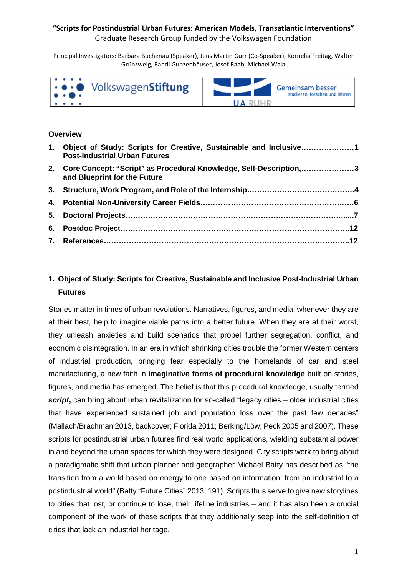## **"Scripts for Postindustrial Urban Futures: American Models, Transatlantic Interventions"**

Graduate Research Group funded by the Volkswagen Foundation

Principal Investigators: Barbara Buchenau (Speaker), Jens Martin Gurr (Co-Speaker), Kornelia Freitag, Walter Grünzweig, Randi Gunzenhäuser, Josef Raab, Michael Wala



### **Overview**

|    | 1. Object of Study: Scripts for Creative, Sustainable and Inclusive1<br><b>Post-Industrial Urban Futures</b> |  |
|----|--------------------------------------------------------------------------------------------------------------|--|
|    | 2. Core Concept: "Script" as Procedural Knowledge, Self-Description,3<br>and Blueprint for the Future        |  |
|    |                                                                                                              |  |
|    |                                                                                                              |  |
| 5. |                                                                                                              |  |
|    |                                                                                                              |  |
|    |                                                                                                              |  |

# **1. Object of Study: Scripts for Creative, Sustainable and Inclusive Post-Industrial Urban Futures**

Stories matter in times of urban revolutions. Narratives, figures, and media, whenever they are at their best, help to imagine viable paths into a better future. When they are at their worst, they unleash anxieties and build scenarios that propel further segregation, conflict, and economic disintegration. In an era in which shrinking cities trouble the former Western centers of industrial production, bringing fear especially to the homelands of car and steel manufacturing, a new faith in **imaginative forms of procedural knowledge** built on stories, figures, and media has emerged. The belief is that this procedural knowledge, usually termed *script***,** can bring about urban revitalization for so-called "legacy cities – older industrial cities that have experienced sustained job and population loss over the past few decades" (Mallach/Brachman 2013, backcover; Florida 2011; Berking/Löw; Peck 2005 and 2007). These scripts for postindustrial urban futures find real world applications, wielding substantial power in and beyond the urban spaces for which they were designed. City scripts work to bring about a paradigmatic shift that urban planner and geographer Michael Batty has described as "the transition from a world based on energy to one based on information: from an industrial to a postindustrial world" (Batty "Future Cities" 2013, 191). Scripts thus serve to give new storylines to cities that lost, or continue to lose, their lifeline industries – and it has also been a crucial component of the work of these scripts that they additionally seep into the self-definition of cities that lack an industrial heritage.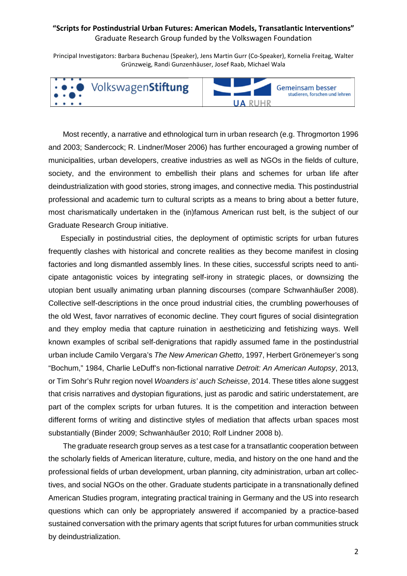Principal Investigators: Barbara Buchenau (Speaker), Jens Martin Gurr (Co-Speaker), Kornelia Freitag, Walter Grünzweig, Randi Gunzenhäuser, Josef Raab, Michael Wala



Most recently, a narrative and ethnological turn in urban research (e.g. Throgmorton 1996 and 2003; Sandercock; R. Lindner/Moser 2006) has further encouraged a growing number of municipalities, urban developers, creative industries as well as NGOs in the fields of culture, society, and the environment to embellish their plans and schemes for urban life after deindustrialization with good stories, strong images, and connective media. This postindustrial professional and academic turn to cultural scripts as a means to bring about a better future, most charismatically undertaken in the (in)famous American rust belt, is the subject of our Graduate Research Group initiative.

Especially in postindustrial cities, the deployment of optimistic scripts for urban futures frequently clashes with historical and concrete realities as they become manifest in closing factories and long dismantled assembly lines. In these cities, successful scripts need to anticipate antagonistic voices by integrating self-irony in strategic places, or downsizing the utopian bent usually animating urban planning discourses (compare Schwanhäußer 2008). Collective self-descriptions in the once proud industrial cities, the crumbling powerhouses of the old West, favor narratives of economic decline. They court figures of social disintegration and they employ media that capture ruination in aestheticizing and fetishizing ways. Well known examples of scribal self-denigrations that rapidly assumed fame in the postindustrial urban include Camilo Vergara's *The New American Ghetto*, 1997, Herbert Grönemeyer's song "Bochum," 1984, Charlie LeDuff's non-fictional narrative *Detroit: An American Autopsy*, 2013, or Tim Sohr's Ruhr region novel *Woanders is' auch Scheisse*, 2014. These titles alone suggest that crisis narratives and dystopian figurations, just as parodic and satiric understatement, are part of the complex scripts for urban futures. It is the competition and interaction between different forms of writing and distinctive styles of mediation that affects urban spaces most substantially (Binder 2009; Schwanhäußer 2010; Rolf Lindner 2008 b).

The graduate research group serves as a test case for a transatlantic cooperation between the scholarly fields of American literature, culture, media, and history on the one hand and the professional fields of urban development, urban planning, city administration, urban art collectives, and social NGOs on the other. Graduate students participate in a transnationally defined American Studies program, integrating practical training in Germany and the US into research questions which can only be appropriately answered if accompanied by a practice-based sustained conversation with the primary agents that script futures for urban communities struck by deindustrialization.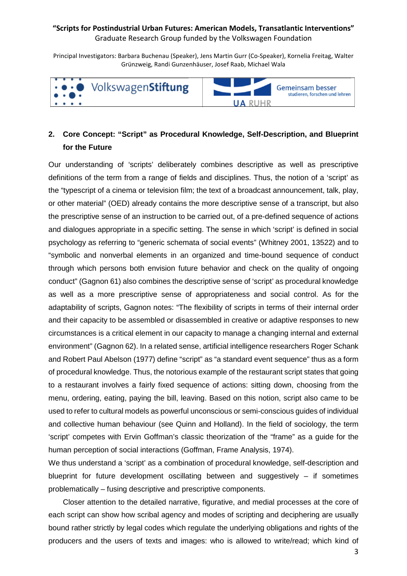Principal Investigators: Barbara Buchenau (Speaker), Jens Martin Gurr (Co-Speaker), Kornelia Freitag, Walter Grünzweig, Randi Gunzenhäuser, Josef Raab, Michael Wala



# **2. Core Concept: "Script" as Procedural Knowledge, Self-Description, and Blueprint for the Future**

Our understanding of 'scripts' deliberately combines descriptive as well as prescriptive definitions of the term from a range of fields and disciplines. Thus, the notion of a 'script' as the "typescript of a cinema or television film; the text of a broadcast announcement, talk, play, or other material" (OED) already contains the more descriptive sense of a transcript, but also the prescriptive sense of an instruction to be carried out, of a pre-defined sequence of actions and dialogues appropriate in a specific setting. The sense in which 'script' is defined in social psychology as referring to "generic schemata of social events" (Whitney 2001, 13522) and to "symbolic and nonverbal elements in an organized and time-bound sequence of conduct through which persons both envision future behavior and check on the quality of ongoing conduct" (Gagnon 61) also combines the descriptive sense of 'script' as procedural knowledge as well as a more prescriptive sense of appropriateness and social control. As for the adaptability of scripts, Gagnon notes: "The flexibility of scripts in terms of their internal order and their capacity to be assembled or disassembled in creative or adaptive responses to new circumstances is a critical element in our capacity to manage a changing internal and external environment" (Gagnon 62). In a related sense, artificial intelligence researchers Roger Schank and Robert Paul Abelson (1977) define "script" as "a standard event sequence" thus as a form of procedural knowledge. Thus, the notorious example of the restaurant script states that going to a restaurant involves a fairly fixed sequence of actions: sitting down, choosing from the menu, ordering, eating, paying the bill, leaving. Based on this notion, script also came to be used to refer to cultural models as powerful unconscious or semi-conscious guides of individual and collective human behaviour (see Quinn and Holland). In the field of sociology, the term 'script' competes with Ervin Goffman's classic theorization of the "frame" as a guide for the human perception of social interactions (Goffman, Frame Analysis, 1974).

We thus understand a 'script' as a combination of procedural knowledge, self-description and blueprint for future development oscillating between and suggestively  $-$  if sometimes problematically – fusing descriptive and prescriptive components.

Closer attention to the detailed narrative, figurative, and medial processes at the core of each script can show how scribal agency and modes of scripting and deciphering are usually bound rather strictly by legal codes which regulate the underlying obligations and rights of the producers and the users of texts and images: who is allowed to write/read; which kind of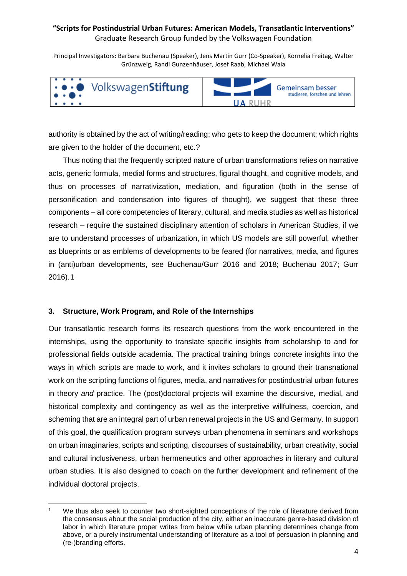Principal Investigators: Barbara Buchenau (Speaker), Jens Martin Gurr (Co-Speaker), Kornelia Freitag, Walter Grünzweig, Randi Gunzenhäuser, Josef Raab, Michael Wala



authority is obtained by the act of writing/reading; who gets to keep the document; which rights are given to the holder of the document, etc.?

Thus noting that the frequently scripted nature of urban transformations relies on narrative acts, generic formula, medial forms and structures, figural thought, and cognitive models, and thus on processes of narrativization, mediation, and figuration (both in the sense of personification and condensation into figures of thought), we suggest that these three components – all core competencies of literary, cultural, and media studies as well as historical research – require the sustained disciplinary attention of scholars in American Studies, if we are to understand processes of urbanization, in which US models are still powerful, whether as blueprints or as emblems of developments to be feared (for narratives, media, and figures in (anti)urban developments, see Buchenau/Gurr 2016 and 2018; Buchenau 2017; Gurr 2016)[.1](#page-3-0)

### **3. Structure, Work Program, and Role of the Internships**

Our transatlantic research forms its research questions from the work encountered in the internships, using the opportunity to translate specific insights from scholarship to and for professional fields outside academia. The practical training brings concrete insights into the ways in which scripts are made to work, and it invites scholars to ground their transnational work on the scripting functions of figures, media, and narratives for postindustrial urban futures in theory *and* practice. The (post)doctoral projects will examine the discursive, medial, and historical complexity and contingency as well as the interpretive willfulness, coercion, and scheming that are an integral part of urban renewal projects in the US and Germany. In support of this goal, the qualification program surveys urban phenomena in seminars and workshops on urban imaginaries, scripts and scripting, discourses of sustainability, urban creativity, social and cultural inclusiveness, urban hermeneutics and other approaches in literary and cultural urban studies. It is also designed to coach on the further development and refinement of the individual doctoral projects.

<span id="page-3-0"></span>l We thus also seek to counter two short-sighted conceptions of the role of literature derived from the consensus about the social production of the city, either an inaccurate genre-based division of labor in which literature proper writes from below while urban planning determines change from above, or a purely instrumental understanding of literature as a tool of persuasion in planning and (re-)branding efforts.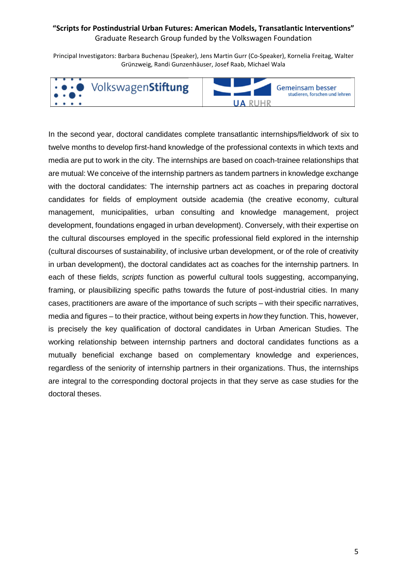Principal Investigators: Barbara Buchenau (Speaker), Jens Martin Gurr (Co-Speaker), Kornelia Freitag, Walter Grünzweig, Randi Gunzenhäuser, Josef Raab, Michael Wala



In the second year, doctoral candidates complete transatlantic internships/fieldwork of six to twelve months to develop first-hand knowledge of the professional contexts in which texts and media are put to work in the city. The internships are based on coach-trainee relationships that are mutual: We conceive of the internship partners as tandem partners in knowledge exchange with the doctoral candidates: The internship partners act as coaches in preparing doctoral candidates for fields of employment outside academia (the creative economy, cultural management, municipalities, urban consulting and knowledge management, project development, foundations engaged in urban development). Conversely, with their expertise on the cultural discourses employed in the specific professional field explored in the internship (cultural discourses of sustainability, of inclusive urban development, or of the role of creativity in urban development), the doctoral candidates act as coaches for the internship partners. In each of these fields, *scripts* function as powerful cultural tools suggesting, accompanying, framing, or plausibilizing specific paths towards the future of post-industrial cities. In many cases, practitioners are aware of the importance of such scripts – with their specific narratives, media and figures – to their practice, without being experts in *how* they function. This, however, is precisely the key qualification of doctoral candidates in Urban American Studies. The working relationship between internship partners and doctoral candidates functions as a mutually beneficial exchange based on complementary knowledge and experiences, regardless of the seniority of internship partners in their organizations. Thus, the internships are integral to the corresponding doctoral projects in that they serve as case studies for the doctoral theses.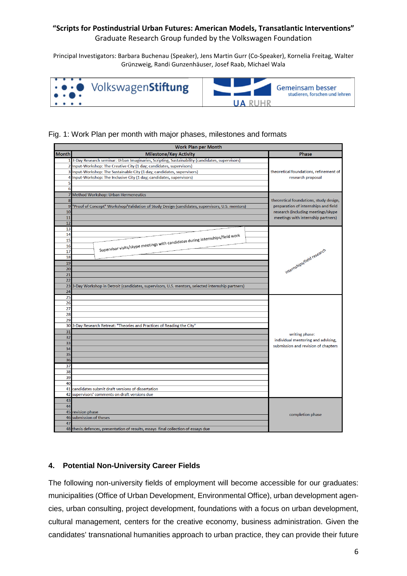### **"Scripts for Postindustrial Urban Futures: American Models, Transatlantic Interventions"**

Graduate Research Group funded by the Volkswagen Foundation

Principal Investigators: Barbara Buchenau (Speaker), Jens Martin Gurr (Co-Speaker), Kornelia Freitag, Walter Grünzweig, Randi Gunzenhäuser, Josef Raab, Michael Wala



### Fig. 1: Work Plan per month with major phases, milestones and formats

| <b>Work Plan per Month</b> |                                                                                                 |                                        |  |  |
|----------------------------|-------------------------------------------------------------------------------------------------|----------------------------------------|--|--|
| <b>Month</b>               | <b>Milestone/Key Activity</b>                                                                   | Phase                                  |  |  |
|                            | 3-Day Research seminar: Urban Imaginaries, Scripting, Sustainability (candidates, supervisors)  |                                        |  |  |
|                            | Input-Workshop: The Creative City (1 day; candidates, supervisors)                              |                                        |  |  |
|                            | Input-Workshop: The Sustainable City (1 day; candidates, supervisors)                           | theoretical foundations, refinement of |  |  |
| 4                          | Input-Workshop: The Inclusive City (1 day; candidates, supervisors)                             | research proposal                      |  |  |
| 5                          |                                                                                                 |                                        |  |  |
| 6                          |                                                                                                 |                                        |  |  |
|                            | Method Workshop: Urban Hermeneutics                                                             |                                        |  |  |
| 8                          |                                                                                                 | theoretical foundations, study design, |  |  |
| g                          | "Proof of Concept" Workshop/Validation of Study Design (candidates, supervisors, U.S. mentors)  | preparation of internships and field   |  |  |
| 10<br>11                   |                                                                                                 | research (including meetings/skype     |  |  |
| 12                         |                                                                                                 | meetings with internship partners)     |  |  |
| 13                         |                                                                                                 |                                        |  |  |
| 14                         |                                                                                                 |                                        |  |  |
| 15                         |                                                                                                 |                                        |  |  |
| 16                         |                                                                                                 |                                        |  |  |
| 17                         | Supervisor visits/skype meetings with candidates during internships/field work                  |                                        |  |  |
| 18                         |                                                                                                 |                                        |  |  |
| 19                         |                                                                                                 | internships/field research             |  |  |
| 20                         |                                                                                                 |                                        |  |  |
| 21                         |                                                                                                 |                                        |  |  |
| 22                         |                                                                                                 |                                        |  |  |
| 23                         | 3-Day Workshop in Detroit (candidates, supervisors, U.S. mentors, selected internship partners) |                                        |  |  |
| 24                         |                                                                                                 |                                        |  |  |
| $\overline{25}$<br>26      |                                                                                                 |                                        |  |  |
| 27                         |                                                                                                 |                                        |  |  |
| 28                         |                                                                                                 |                                        |  |  |
| 29                         |                                                                                                 |                                        |  |  |
| 30                         | 3-Day Research Retreat: "Theories and Practices of Reading the City"                            |                                        |  |  |
| 31                         |                                                                                                 |                                        |  |  |
| 32                         |                                                                                                 | writing phase:                         |  |  |
| 33                         |                                                                                                 | individual mentoring and advising,     |  |  |
| 34                         |                                                                                                 | submission and revision of chapters    |  |  |
| 35                         |                                                                                                 |                                        |  |  |
| 36                         |                                                                                                 |                                        |  |  |
| 37                         |                                                                                                 |                                        |  |  |
| 38                         |                                                                                                 |                                        |  |  |
| 39                         |                                                                                                 |                                        |  |  |
| 40                         |                                                                                                 |                                        |  |  |
| 41<br>42                   | candidates submit draft versions of dissertation<br>supervisors' comments on draft versions due |                                        |  |  |
|                            |                                                                                                 |                                        |  |  |
| 43<br>44                   |                                                                                                 |                                        |  |  |
|                            | 45 revision phase                                                                               |                                        |  |  |
| 46                         | submission of theses                                                                            | completion phase                       |  |  |
| 47                         |                                                                                                 |                                        |  |  |
|                            | 48 thesis defences, presentation of results, essays final collection of essays due              |                                        |  |  |

### **4. Potential Non-University Career Fields**

The following non-university fields of employment will become accessible for our graduates: municipalities (Office of Urban Development, Environmental Office), urban development agencies, urban consulting, project development, foundations with a focus on urban development, cultural management, centers for the creative economy, business administration. Given the candidates' transnational humanities approach to urban practice, they can provide their future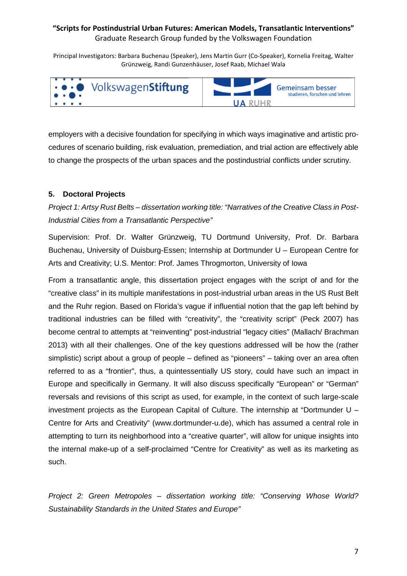Principal Investigators: Barbara Buchenau (Speaker), Jens Martin Gurr (Co-Speaker), Kornelia Freitag, Walter Grünzweig, Randi Gunzenhäuser, Josef Raab, Michael Wala



employers with a decisive foundation for specifying in which ways imaginative and artistic procedures of scenario building, risk evaluation, premediation, and trial action are effectively able to change the prospects of the urban spaces and the postindustrial conflicts under scrutiny.

### **5. Doctoral Projects**

*Project 1: Artsy Rust Belts – dissertation working title: "Narratives of the Creative Class in Post-Industrial Cities from a Transatlantic Perspective"*

Supervision: Prof. Dr. Walter Grünzweig, TU Dortmund University, Prof. Dr. Barbara Buchenau, University of Duisburg-Essen; Internship at Dortmunder U – European Centre for Arts and Creativity; U.S. Mentor: Prof. James Throgmorton, University of Iowa

From a transatlantic angle, this dissertation project engages with the script of and for the "creative class" in its multiple manifestations in post-industrial urban areas in the US Rust Belt and the Ruhr region. Based on Florida's vague if influential notion that the gap left behind by traditional industries can be filled with "creativity", the "creativity script" (Peck 2007) has become central to attempts at "reinventing" post-industrial "legacy cities" (Mallach/ Brachman 2013) with all their challenges. One of the key questions addressed will be how the (rather simplistic) script about a group of people – defined as "pioneers" – taking over an area often referred to as a "frontier", thus, a quintessentially US story, could have such an impact in Europe and specifically in Germany. It will also discuss specifically "European" or "German" reversals and revisions of this script as used, for example, in the context of such large-scale investment projects as the European Capital of Culture. The internship at "Dortmunder U – Centre for Arts and Creativity" (www.dortmunder-u.de), which has assumed a central role in attempting to turn its neighborhood into a "creative quarter", will allow for unique insights into the internal make-up of a self-proclaimed "Centre for Creativity" as well as its marketing as such.

*Project 2: Green Metropoles – dissertation working title: "Conserving Whose World? Sustainability Standards in the United States and Europe"*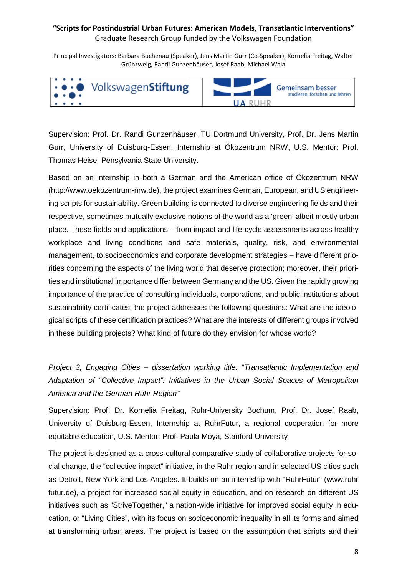Principal Investigators: Barbara Buchenau (Speaker), Jens Martin Gurr (Co-Speaker), Kornelia Freitag, Walter Grünzweig, Randi Gunzenhäuser, Josef Raab, Michael Wala



Supervision: Prof. Dr. Randi Gunzenhäuser, TU Dortmund University, Prof. Dr. Jens Martin Gurr, University of Duisburg-Essen, Internship at Ökozentrum NRW, U.S. Mentor: Prof. Thomas Heise, Pensylvania State University.

Based on an internship in both a German and the American office of Ökozentrum NRW (http://www.oekozentrum-nrw.de), the project examines German, European, and US engineering scripts for sustainability. Green building is connected to diverse engineering fields and their respective, sometimes mutually exclusive notions of the world as a 'green' albeit mostly urban place. These fields and applications – from impact and life-cycle assessments across healthy workplace and living conditions and safe materials, quality, risk, and environmental management, to socioeconomics and corporate development strategies – have different priorities concerning the aspects of the living world that deserve protection; moreover, their priorities and institutional importance differ between Germany and the US. Given the rapidly growing importance of the practice of consulting individuals, corporations, and public institutions about sustainability certificates, the project addresses the following questions: What are the ideological scripts of these certification practices? What are the interests of different groups involved in these building projects? What kind of future do they envision for whose world?

*Project 3, Engaging Cities – dissertation working title: "Transatlantic Implementation and Adaptation of "Collective Impact": Initiatives in the Urban Social Spaces of Metropolitan America and the German Ruhr Region"*

Supervision: Prof. Dr. Kornelia Freitag, Ruhr-University Bochum, Prof. Dr. Josef Raab, University of Duisburg-Essen, Internship at RuhrFutur, a regional cooperation for more equitable education, U.S. Mentor: Prof. Paula Moya, Stanford University

The project is designed as a cross-cultural comparative study of collaborative projects for social change, the "collective impact" initiative, in the Ruhr region and in selected US cities such as Detroit, New York and Los Angeles. It builds on an internship with "RuhrFutur" (www.ruhr futur.de), a project for increased social equity in education, and on research on different US initiatives such as "StriveTogether," a nation-wide initiative for improved social equity in education, or "Living Cities", with its focus on socioeconomic inequality in all its forms and aimed at transforming urban areas. The project is based on the assumption that scripts and their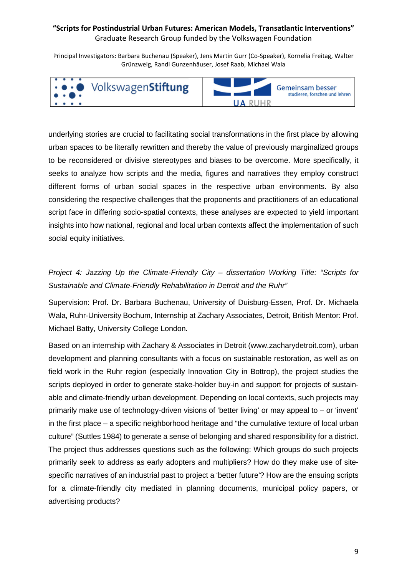Principal Investigators: Barbara Buchenau (Speaker), Jens Martin Gurr (Co-Speaker), Kornelia Freitag, Walter Grünzweig, Randi Gunzenhäuser, Josef Raab, Michael Wala



underlying stories are crucial to facilitating social transformations in the first place by allowing urban spaces to be literally rewritten and thereby the value of previously marginalized groups to be reconsidered or divisive stereotypes and biases to be overcome. More specifically, it seeks to analyze how scripts and the media, figures and narratives they employ construct different forms of urban social spaces in the respective urban environments. By also considering the respective challenges that the proponents and practitioners of an educational script face in differing socio-spatial contexts, these analyses are expected to yield important insights into how national, regional and local urban contexts affect the implementation of such social equity initiatives.

# *Project 4: Jazzing Up the Climate-Friendly City – dissertation Working Title: "Scripts for Sustainable and Climate-Friendly Rehabilitation in Detroit and the Ruhr"*

Supervision: Prof. Dr. Barbara Buchenau, University of Duisburg-Essen, Prof. Dr. Michaela Wala, Ruhr-University Bochum, Internship at Zachary Associates, Detroit, British Mentor: Prof. Michael Batty, University College London.

Based on an internship with Zachary & Associates in Detroit (www.zacharydetroit.com), urban development and planning consultants with a focus on sustainable restoration, as well as on field work in the Ruhr region (especially Innovation City in Bottrop), the project studies the scripts deployed in order to generate stake-holder buy-in and support for projects of sustainable and climate-friendly urban development. Depending on local contexts, such projects may primarily make use of technology-driven visions of 'better living' or may appeal to – or 'invent' in the first place – a specific neighborhood heritage and "the cumulative texture of local urban culture" (Suttles 1984) to generate a sense of belonging and shared responsibility for a district. The project thus addresses questions such as the following: Which groups do such projects primarily seek to address as early adopters and multipliers? How do they make use of sitespecific narratives of an industrial past to project a 'better future'? How are the ensuing scripts for a climate-friendly city mediated in planning documents, municipal policy papers, or advertising products?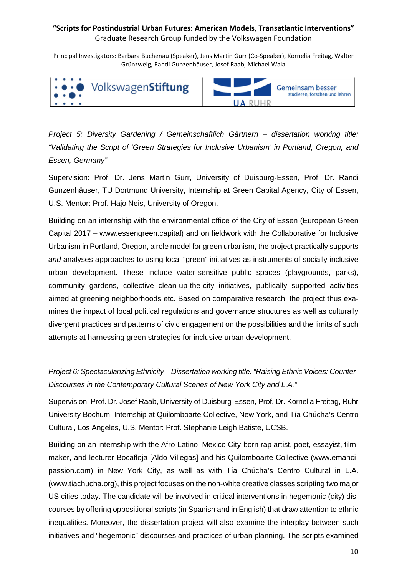Principal Investigators: Barbara Buchenau (Speaker), Jens Martin Gurr (Co-Speaker), Kornelia Freitag, Walter Grünzweig, Randi Gunzenhäuser, Josef Raab, Michael Wala



*Project 5: Diversity Gardening / Gemeinschaftlich Gärtnern – dissertation working title: "Validating the Script of 'Green Strategies for Inclusive Urbanism' in Portland, Oregon, and Essen, Germany"*

Supervision: Prof. Dr. Jens Martin Gurr, University of Duisburg-Essen, Prof. Dr. Randi Gunzenhäuser, TU Dortmund University, Internship at Green Capital Agency, City of Essen, U.S. Mentor: Prof. Hajo Neis, University of Oregon.

Building on an internship with the environmental office of the City of Essen (European Green Capital 2017 – www.essengreen.capital) and on fieldwork with the Collaborative for Inclusive Urbanism in Portland, Oregon, a role model for green urbanism, the project practically supports *and* analyses approaches to using local "green" initiatives as instruments of socially inclusive urban development. These include water-sensitive public spaces (playgrounds, parks), community gardens, collective clean-up-the-city initiatives, publically supported activities aimed at greening neighborhoods etc. Based on comparative research, the project thus examines the impact of local political regulations and governance structures as well as culturally divergent practices and patterns of civic engagement on the possibilities and the limits of such attempts at harnessing green strategies for inclusive urban development.

*Project 6: Spectacularizing Ethnicity – Dissertation working title: "Raising Ethnic Voices: Counter-Discourses in the Contemporary Cultural Scenes of New York City and L.A."*

Supervision: Prof. Dr. Josef Raab, University of Duisburg-Essen, Prof. Dr. Kornelia Freitag, Ruhr University Bochum, Internship at Quilomboarte Collective, New York, and Tía Chúcha's Centro Cultural, Los Angeles, U.S. Mentor: Prof. Stephanie Leigh Batiste, UCSB.

Building on an internship with the Afro-Latino, Mexico City-born rap artist, poet, essayist, filmmaker, and lecturer Bocafloja [Aldo Villegas] and his Quilomboarte Collective (www.emancipassion.com) in New York City, as well as with Tía Chúcha's Centro Cultural in L.A. (www.tiachucha.org), this project focuses on the non-white creative classes scripting two major US cities today. The candidate will be involved in critical interventions in hegemonic (city) discourses by offering oppositional scripts (in Spanish and in English) that draw attention to ethnic inequalities. Moreover, the dissertation project will also examine the interplay between such initiatives and "hegemonic" discourses and practices of urban planning. The scripts examined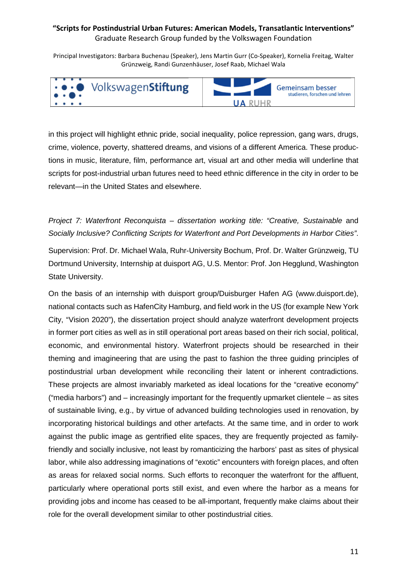Principal Investigators: Barbara Buchenau (Speaker), Jens Martin Gurr (Co-Speaker), Kornelia Freitag, Walter Grünzweig, Randi Gunzenhäuser, Josef Raab, Michael Wala



in this project will highlight ethnic pride, social inequality, police repression, gang wars, drugs, crime, violence, poverty, shattered dreams, and visions of a different America. These productions in music, literature, film, performance art, visual art and other media will underline that scripts for post-industrial urban futures need to heed ethnic difference in the city in order to be relevant—in the United States and elsewhere.

*Project 7: Waterfront Reconquista – dissertation working title: "Creative, Sustainable* and *Socially Inclusive? Conflicting Scripts for Waterfront and Port Developments in Harbor Cities"*.

Supervision: Prof. Dr. Michael Wala, Ruhr-University Bochum, Prof. Dr. Walter Grünzweig, TU Dortmund University, Internship at duisport AG, U.S. Mentor: Prof. Jon Hegglund, Washington State University.

On the basis of an internship with duisport group/Duisburger Hafen AG (www.duisport.de), national contacts such as HafenCity Hamburg, and field work in the US (for example New York City, "Vision 2020"), the dissertation project should analyze waterfront development projects in former port cities as well as in still operational port areas based on their rich social, political, economic, and environmental history. Waterfront projects should be researched in their theming and imagineering that are using the past to fashion the three guiding principles of postindustrial urban development while reconciling their latent or inherent contradictions. These projects are almost invariably marketed as ideal locations for the "creative economy" ("media harbors") and  $-$  increasingly important for the frequently upmarket clientele  $-$  as sites of sustainable living, e.g., by virtue of advanced building technologies used in renovation, by incorporating historical buildings and other artefacts. At the same time, and in order to work against the public image as gentrified elite spaces, they are frequently projected as familyfriendly and socially inclusive, not least by romanticizing the harbors' past as sites of physical labor, while also addressing imaginations of "exotic" encounters with foreign places, and often as areas for relaxed social norms. Such efforts to reconquer the waterfront for the affluent, particularly where operational ports still exist, and even where the harbor as a means for providing jobs and income has ceased to be all-important, frequently make claims about their role for the overall development similar to other postindustrial cities.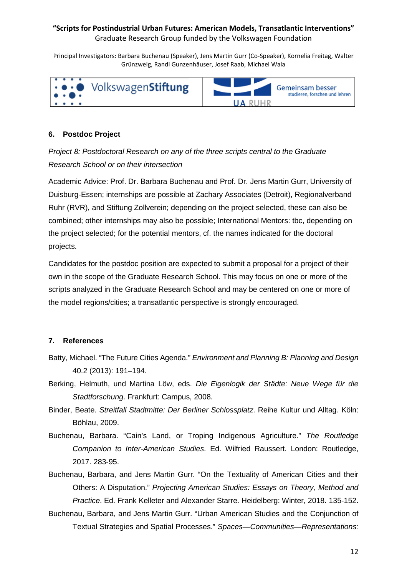Principal Investigators: Barbara Buchenau (Speaker), Jens Martin Gurr (Co-Speaker), Kornelia Freitag, Walter Grünzweig, Randi Gunzenhäuser, Josef Raab, Michael Wala



### **6. Postdoc Project**

*Project 8: Postdoctoral Research on any of the three scripts central to the Graduate Research School or on their intersection*

Academic Advice: Prof. Dr. Barbara Buchenau and Prof. Dr. Jens Martin Gurr, University of Duisburg-Essen; internships are possible at Zachary Associates (Detroit), Regionalverband Ruhr (RVR), and Stiftung Zollverein; depending on the project selected, these can also be combined; other internships may also be possible; International Mentors: tbc, depending on the project selected; for the potential mentors, cf. the names indicated for the doctoral projects.

Candidates for the postdoc position are expected to submit a proposal for a project of their own in the scope of the Graduate Research School. This may focus on one or more of the scripts analyzed in the Graduate Research School and may be centered on one or more of the model regions/cities; a transatlantic perspective is strongly encouraged.

### **7. References**

- Batty, Michael. "The Future Cities Agenda." *Environment and Planning B: Planning and Design* 40.2 (2013): 191–194.
- Berking, Helmuth, und Martina Löw, eds. *Die Eigenlogik der Städte: Neue Wege für die Stadtforschung*. Frankfurt: Campus, 2008.
- Binder, Beate. *Streitfall Stadtmitte: Der Berliner Schlossplatz*. Reihe Kultur und Alltag. Köln: Böhlau, 2009.
- Buchenau, Barbara. "Cain's Land, or Troping Indigenous Agriculture." *The Routledge Companion to Inter-American Studies*. Ed. Wilfried Raussert. London: Routledge, 2017. 283-95.
- Buchenau, Barbara, and Jens Martin Gurr. "On the Textuality of American Cities and their Others: A Disputation." *Projecting American Studies: Essays on Theory, Method and Practice*. Ed. Frank Kelleter and Alexander Starre. Heidelberg: Winter, 2018. 135-152.
- Buchenau, Barbara, and Jens Martin Gurr. "Urban American Studies and the Conjunction of Textual Strategies and Spatial Processes." *Spaces—Communities—Representations:*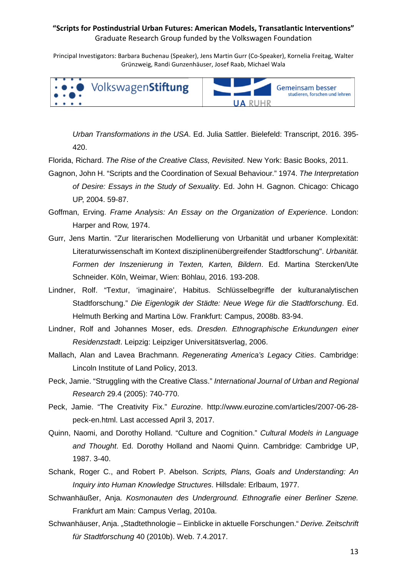Principal Investigators: Barbara Buchenau (Speaker), Jens Martin Gurr (Co-Speaker), Kornelia Freitag, Walter Grünzweig, Randi Gunzenhäuser, Josef Raab, Michael Wala



*Urban Transformations in the USA*. Ed. Julia Sattler. Bielefeld: Transcript, 2016. 395- 420.

Florida, Richard. *The Rise of the Creative Class, Revisited*. New York: Basic Books, 2011.

- Gagnon, John H. "Scripts and the Coordination of Sexual Behaviour." 1974. *The Interpretation of Desire: Essays in the Study of Sexuality*. Ed. John H. Gagnon. Chicago: Chicago UP, 2004. 59-87.
- Goffman, Erving. *Frame Analysis: An Essay on the Organization of Experience*. London: Harper and Row, 1974.
- Gurr, Jens Martin. "Zur literarischen Modellierung von Urbanität und urbaner Komplexität: Literaturwissenschaft im Kontext disziplinenübergreifender Stadtforschung". *Urbanität. Formen der Inszenierung in Texten, Karten, Bildern*. Ed. Martina Stercken/Ute Schneider. Köln, Weimar, Wien: Böhlau, 2016. 193-208.
- Lindner, Rolf. "Textur, 'imaginaire', Habitus. Schlüsselbegriffe der kulturanalytischen Stadtforschung." *Die Eigenlogik der Städte: Neue Wege für die Stadtforschung*. Ed. Helmuth Berking and Martina Löw. Frankfurt: Campus, 2008b. 83-94.
- Lindner, Rolf and Johannes Moser, eds. *Dresden. Ethnographische Erkundungen einer Residenzstadt*. Leipzig: Leipziger Universitätsverlag, 2006.
- Mallach, Alan and Lavea Brachmann. *Regenerating America's Legacy Cities*. Cambridge: Lincoln Institute of Land Policy, 2013.
- Peck, Jamie. "Struggling with the Creative Class." *International Journal of Urban and Regional Research* 29.4 (2005): 740-770.
- Peck, Jamie. "The Creativity Fix." *Eurozine*. http://www.eurozine.com/articles/2007-06-28 peck-en.html. Last accessed April 3, 2017.
- Quinn, Naomi, and Dorothy Holland. "Culture and Cognition." *Cultural Models in Language and Thought*. Ed. Dorothy Holland and Naomi Quinn. Cambridge: Cambridge UP, 1987. 3-40.
- Schank, Roger C., and Robert P. Abelson. *Scripts, Plans, Goals and Understanding: An Inquiry into Human Knowledge Structures*. Hillsdale: Erlbaum, 1977.
- Schwanhäußer, Anja. *Kosmonauten des Underground. Ethnografie einer Berliner Szene.* Frankfurt am Main: Campus Verlag, 2010a.
- Schwanhäuser, Anja. "Stadtethnologie Einblicke in aktuelle Forschungen." *Derive. Zeitschrift für Stadtforschung* 40 (2010b). Web. 7.4.2017.